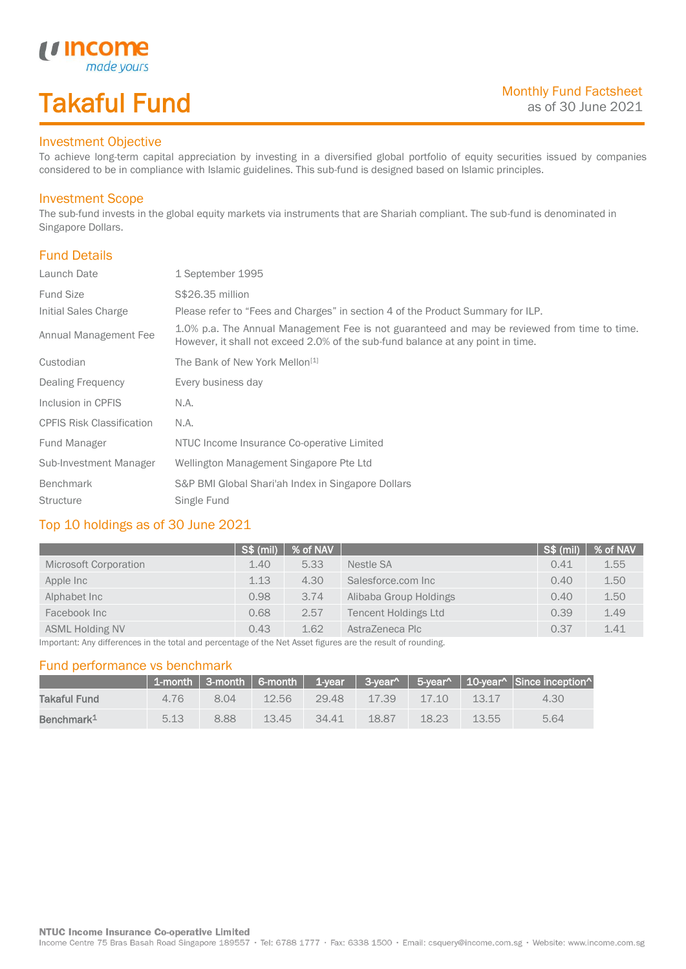# Takaful Fund

made your:

### Investment Objective

*u* Income

To achieve long-term capital appreciation by investing in a diversified global portfolio of equity securities issued by companies considered to be in compliance with Islamic guidelines. This sub-fund is designed based on Islamic principles.

#### Investment Scope

The sub-fund invests in the global equity markets via instruments that are Shariah compliant. The sub-fund is denominated in Singapore Dollars.

### Fund Details

I

| Launch Date                      | 1 September 1995                                                                                                                                                                |  |
|----------------------------------|---------------------------------------------------------------------------------------------------------------------------------------------------------------------------------|--|
| <b>Fund Size</b>                 | S\$26.35 million                                                                                                                                                                |  |
| Initial Sales Charge             | Please refer to "Fees and Charges" in section 4 of the Product Summary for ILP.                                                                                                 |  |
| Annual Management Fee            | 1.0% p.a. The Annual Management Fee is not guaranteed and may be reviewed from time to time.<br>However, it shall not exceed 2.0% of the sub-fund balance at any point in time. |  |
| Custodian                        | The Bank of New York Mellon <sup>[1]</sup>                                                                                                                                      |  |
| Dealing Frequency                | Every business day                                                                                                                                                              |  |
| Inclusion in CPFIS               | N.A.                                                                                                                                                                            |  |
| <b>CPFIS Risk Classification</b> | N.A.                                                                                                                                                                            |  |
| Fund Manager                     | NTUC Income Insurance Co-operative Limited                                                                                                                                      |  |
| Sub-Investment Manager           | Wellington Management Singapore Pte Ltd                                                                                                                                         |  |
| Benchmark                        | S&P BMI Global Shari'ah Index in Singapore Dollars                                                                                                                              |  |
| <b>Structure</b>                 | Single Fund                                                                                                                                                                     |  |

### Top 10 holdings as of 30 June 2021

|                                                                                                                           | S\$ (mil) | % of NAV |                             | S\$ (mil) | % of NAV |
|---------------------------------------------------------------------------------------------------------------------------|-----------|----------|-----------------------------|-----------|----------|
| Microsoft Corporation                                                                                                     | 1.40      | 5.33     | Nestle SA                   | 0.41      | 1.55     |
| Apple Inc                                                                                                                 | 1.13      | 4.30     | Salesforce.com Inc.         | 0.40      | 1.50     |
| Alphabet Inc                                                                                                              | 0.98      | 3.74     | Alibaba Group Holdings      | 0.40      | 1.50     |
| Facebook Inc                                                                                                              | 0.68      | 2.57     | <b>Tencent Holdings Ltd</b> | 0.39      | 1.49     |
| <b>ASML Holding NV</b>                                                                                                    | 0.43      | 1.62     | AstraZeneca Plc             | 0.37      | 1.41     |
| There entered their differences of the theory and he concerted to a full a Max Assam flowing a security of communities of |           |          |                             |           |          |

Important: Any differences in the total and percentage of the Net Asset figures are the result of rounding.

#### Fund performance vs benchmark

|                        |      |      |          |          |       |             |       | 1-month   3-month   6-month   1-year   3-year^   5-year^   10-year^   Since inception^ |
|------------------------|------|------|----------|----------|-------|-------------|-------|----------------------------------------------------------------------------------------|
| Takaful Fund           | 476  | 8 Q4 | 12.56    | 29.48    |       | 17.39 17.10 | 13.17 | 4.30                                                                                   |
| Benchmark <sup>1</sup> | 5.13 | 8.88 | $-13.45$ | $-34.41$ | 18.87 | 18.23       | 13.55 | 5.64                                                                                   |

Income Centre 75 Bras Basah Road Singapore 189557 · Tel: 6788 1777 · Fax: 6338 1500 · Email: csquery@income.com.sg · Website: www.income.com.sg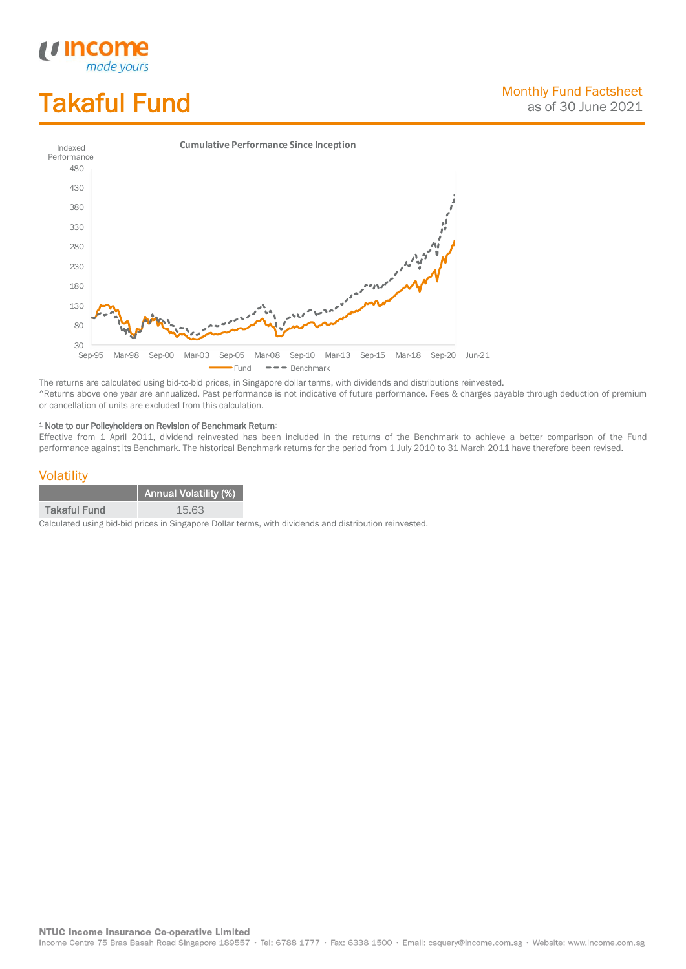# Takaful Fund

*<u>Income</u>*<br>made yours

I



The returns are calculated using bid-to-bid prices, in Singapore dollar terms, with dividends and distributions reinvested. ^Returns above one year are annualized. Past performance is not indicative of future performance. Fees & charges payable through deduction of premium or cancellation of units are excluded from this calculation.

#### <sup>1</sup> Note to our Policyholders on Revision of Benchmark Return:

Effective from 1 April 2011, dividend reinvested has been included in the returns of the Benchmark to achieve a better comparison of the Fund performance against its Benchmark. The historical Benchmark returns for the period from 1 July 2010 to 31 March 2011 have therefore been revised.

#### **Volatility**

|                     | <b>Annual Volatility (%)</b> |
|---------------------|------------------------------|
| <b>Takaful Fund</b> | 15.63                        |

Calculated using bid-bid prices in Singapore Dollar terms, with dividends and distribution reinvested.

**NTUC Income Insurance Co-operative Limited** 

Income Centre 75 Bras Basah Road Singapore 189557 · Tel: 6788 1777 · Fax: 6338 1500 · Email: csquery@income.com.sg · Website: www.income.com.sg